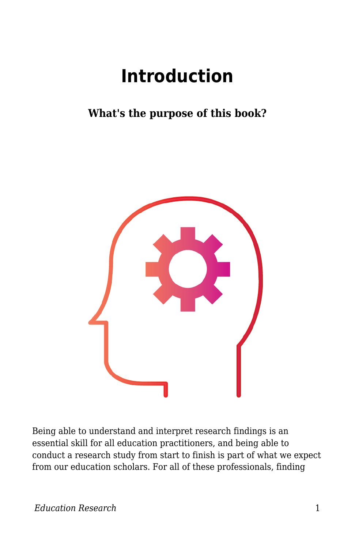## **Introduction**

## **What's the purpose of this book?**



Being able to understand and interpret research findings is an essential skill for all education practitioners, and being able to conduct a research study from start to finish is part of what we expect from our education scholars. For all of these professionals, finding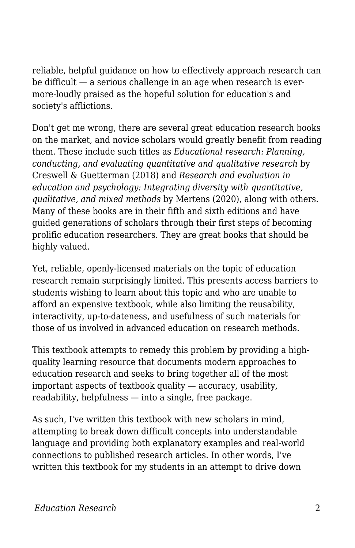reliable, helpful guidance on how to effectively approach research can be difficult — a serious challenge in an age when research is evermore-loudly praised as the hopeful solution for education's and society's afflictions.

Don't get me wrong, there are several great education research books on the market, and novice scholars would greatly benefit from reading them. These include such titles as *Educational research: Planning, conducting, and evaluating quantitative and qualitative research* by Creswell & Guetterman (2018) and *Research and evaluation in education and psychology: Integrating diversity with quantitative, qualitative, and mixed methods* by Mertens (2020), along with others. Many of these books are in their fifth and sixth editions and have guided generations of scholars through their first steps of becoming prolific education researchers. They are great books that should be highly valued.

Yet, reliable, openly-licensed materials on the topic of education research remain surprisingly limited. This presents access barriers to students wishing to learn about this topic and who are unable to afford an expensive textbook, while also limiting the reusability, interactivity, up-to-dateness, and usefulness of such materials for those of us involved in advanced education on research methods.

This textbook attempts to remedy this problem by providing a highquality learning resource that documents modern approaches to education research and seeks to bring together all of the most important aspects of textbook quality — accuracy, usability, readability, helpfulness — into a single, free package.

As such, I've written this textbook with new scholars in mind, attempting to break down difficult concepts into understandable language and providing both explanatory examples and real-world connections to published research articles. In other words, I've written this textbook for my students in an attempt to drive down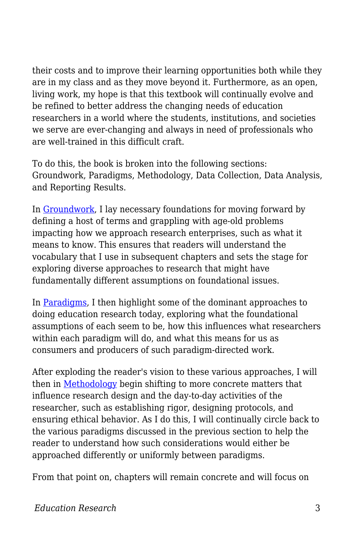their costs and to improve their learning opportunities both while they are in my class and as they move beyond it. Furthermore, as an open, living work, my hope is that this textbook will continually evolve and be refined to better address the changing needs of education researchers in a world where the students, institutions, and societies we serve are ever-changing and always in need of professionals who are well-trained in this difficult craft.

To do this, the book is broken into the following sections: Groundwork, Paradigms, Methodology, Data Collection, Data Analysis, and Reporting Results.

In [Groundwork](https://edtechbooks.org/education_research/groundwork), I lay necessary foundations for moving forward by defining a host of terms and grappling with age-old problems impacting how we approach research enterprises, such as what it means to know. This ensures that readers will understand the vocabulary that I use in subsequent chapters and sets the stage for exploring diverse approaches to research that might have fundamentally different assumptions on foundational issues.

In [Paradigms,](https://edtechbooks.org/education_research/paradigms) I then highlight some of the dominant approaches to doing education research today, exploring what the foundational assumptions of each seem to be, how this influences what researchers within each paradigm will do, and what this means for us as consumers and producers of such paradigm-directed work.

After exploding the reader's vision to these various approaches, I will then in [Methodology](https://edtechbooks.org/education_research/methodology) begin shifting to more concrete matters that influence research design and the day-to-day activities of the researcher, such as establishing rigor, designing protocols, and ensuring ethical behavior. As I do this, I will continually circle back to the various paradigms discussed in the previous section to help the reader to understand how such considerations would either be approached differently or uniformly between paradigms.

From that point on, chapters will remain concrete and will focus on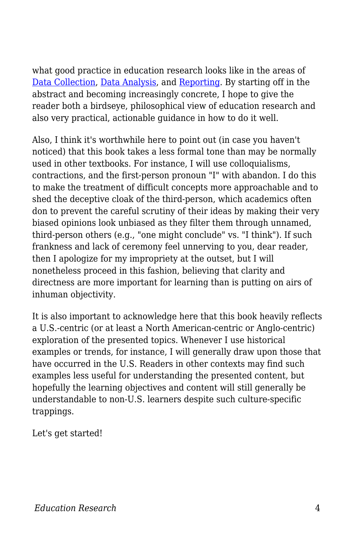what good practice in education research looks like in the areas of [Data Collection,](https://edtechbooks.org/education_research/data_collection) [Data Analysis](https://edtechbooks.org/education_research/data_analysis), and [Reporting](https://edtechbooks.org/education_research/reporting). By starting off in the abstract and becoming increasingly concrete, I hope to give the reader both a birdseye, philosophical view of education research and also very practical, actionable guidance in how to do it well.

Also, I think it's worthwhile here to point out (in case you haven't noticed) that this book takes a less formal tone than may be normally used in other textbooks. For instance, I will use colloquialisms, contractions, and the first-person pronoun "I" with abandon. I do this to make the treatment of difficult concepts more approachable and to shed the deceptive cloak of the third-person, which academics often don to prevent the careful scrutiny of their ideas by making their very biased opinions look unbiased as they filter them through unnamed, third-person others (e.g., "one might conclude" vs. "I think"). If such frankness and lack of ceremony feel unnerving to you, dear reader, then I apologize for my impropriety at the outset, but I will nonetheless proceed in this fashion, believing that clarity and directness are more important for learning than is putting on airs of inhuman objectivity.

It is also important to acknowledge here that this book heavily reflects a U.S.-centric (or at least a North American-centric or Anglo-centric) exploration of the presented topics. Whenever I use historical examples or trends, for instance, I will generally draw upon those that have occurred in the U.S. Readers in other contexts may find such examples less useful for understanding the presented content, but hopefully the learning objectives and content will still generally be understandable to non-U.S. learners despite such culture-specific trappings.

Let's get started!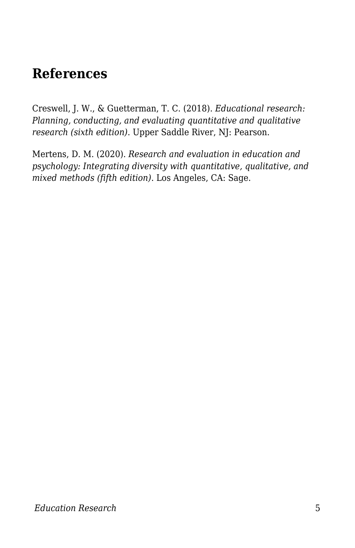## **References**

Creswell, J. W., & Guetterman, T. C. (2018). *Educational research: Planning, conducting, and evaluating quantitative and qualitative research (sixth edition)*. Upper Saddle River, NJ: Pearson.

Mertens, D. M. (2020). *Research and evaluation in education and psychology: Integrating diversity with quantitative, qualitative, and mixed methods (fifth edition)*. Los Angeles, CA: Sage.